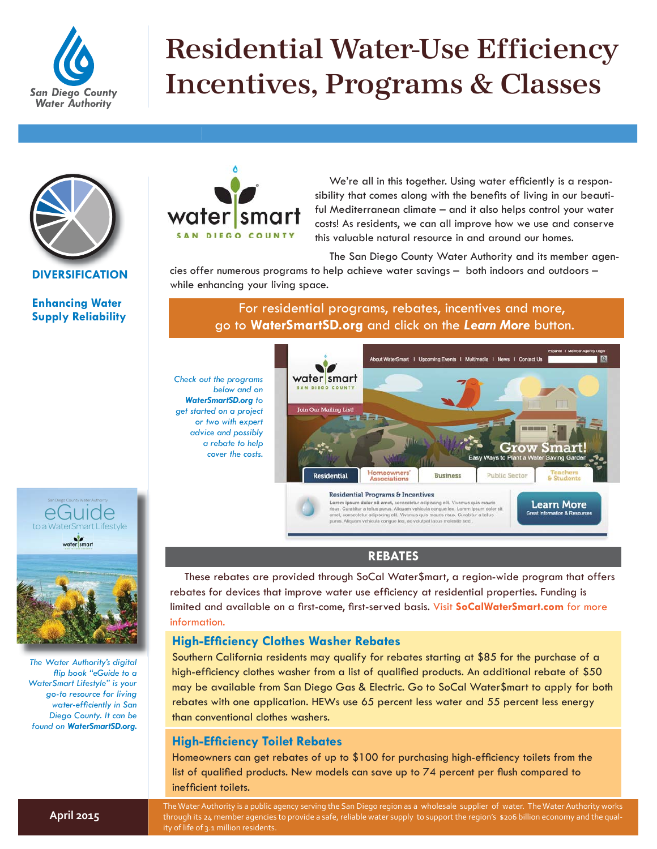

# Residential Water-Use Efficiency Incentives, Programs & Classes



**DIVERSIFICATION**

#### **Enhancing Water Supply Reliability**



We're all in this together. Using water efficiently is a responsibility that comes along with the benefits of living in our beautiful Mediterranean climate – and it also helps control your water costs! As residents, we can all improve how we use and conserve this valuable natural resource in and around our homes.

The San Diego County Water Authority and its member agen-

cies offer numerous programs to help achieve water savings – both indoors and outdoors – while enhancing your living space.

For residential programs, rebates, incentives and more, go to **[WaterSmartSD.org](http://www.watersmartsd.org/)** and click on the *Learn More* button.

*Check out the programs below and on WaterSmartSD.org to get started on a project or two with expert advice and possibly a rebate to help cover the costs.*



# **REBATES**

These rebates are provided through SoCal Water\$mart, a region-wide program that offers rebates for devices that improve water use efficiency at residential properties. Funding is limited and available on a first-come, first-served basis. Visit [SoCalWaterSmart.com](http://www.socalwatersmart.com/) for more information.

# **High-Efficiency Clothes Washer Rebates**

Southern California residents may qualify for rebates starting at \$85 for the purchase of a high-efficiency clothes washer from a list of qualified products. An additional rebate of \$50 may be available from San Diego Gas & Electric. Go to SoCal Water\$mart to apply for both rebates with one application. HEWs use 65 percent less water and 55 percent less energy than conventional clothes washers.

### **High-Efficiency Toilet Rebates**

Homeowners can get rebates of up to \$100 for purchasing high-efficiency toilets from the list of qualified products. New models can save up to 74 percent per flush compared to inefficient toilets.

The Water Authority is a public agency serving the San Diego region as a wholesale supplier of water. The Water Authority works through its 24 member agencies to provide a safe, reliable water supply to support the region's \$206 billion economy and the quality of life of 3.1 million residents.



 San Diego County Water Authority eGuide

*The Water Authority's digital fl ip book "eGuide to a WaterSmart Lifestyle" is your go-to resource for living water-effi ciently in San Diego County. It can be found on [WaterSmartSD.org.](http://www.watersmartsd.org/)*

**April 2015**